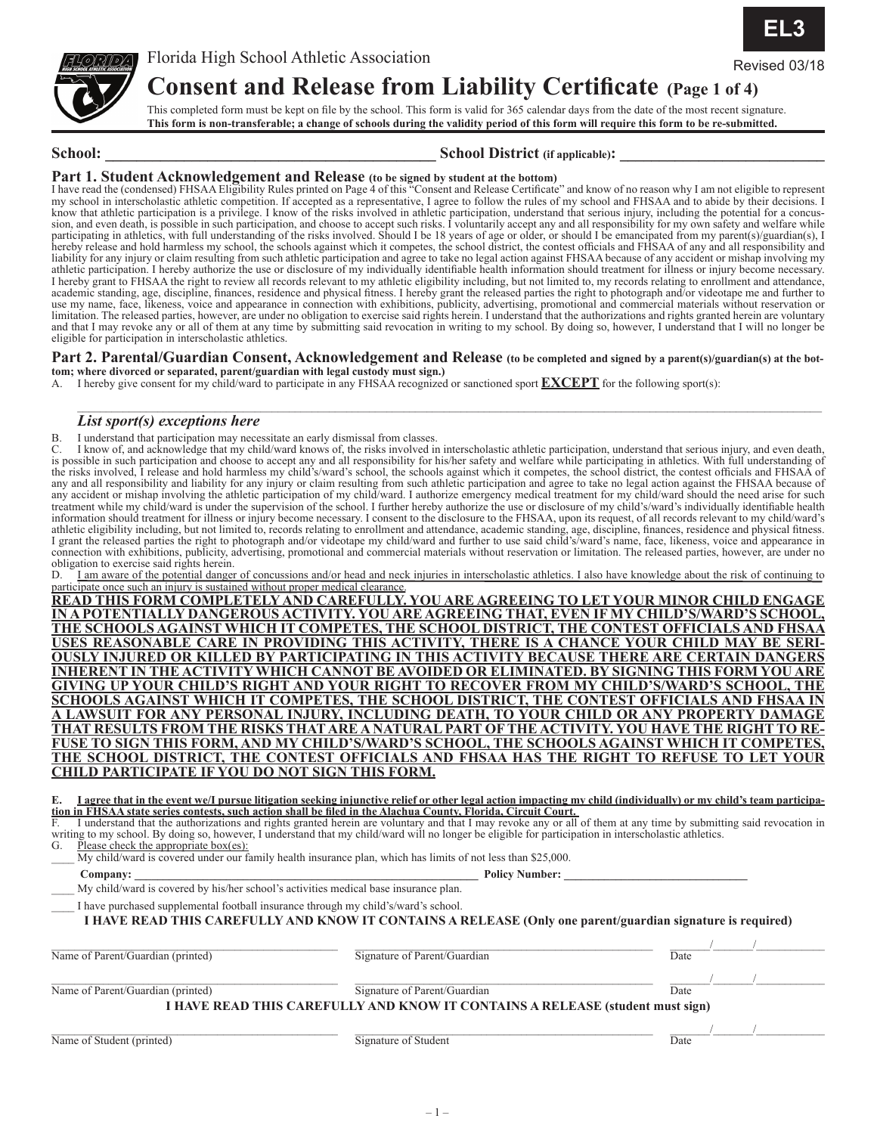Florida High School Athletic Association



# **Consent and Release from Liability Certificate (Page 1 of 4)**

This completed form must be kept on file by the school. This form is valid for 365 calendar days from the date of the most recent signature. **This form is non-transferable; a change of schools during the validity period of this form will require this form to be re-submitted.**

### School: School District (if applicable):

Part 1. Student Acknowledgement and Release (to be signed by student at the bottom)<br>I have read the (condensed) FHSAA Eligibility Rules printed on Page 4 of this "Consent and Release Certificate" and know of no reason why my school in interscholastic athletic competition. If accepted as a representative, I agree to follow the rules of my school and FHSAA and to abide by their decisions. I know that athletic participation is a privilege. I know of the risks involved in athletic participation, understand that serious injury, including the potential for a concussion, and even death, is possible in such participation, and choose to accept such risks. I voluntarily accept any and all responsibility for my own safety and welfare while participating in athletics, with full understanding of the risks involved. Should I be 18 years of age or older, or should I be emancipated from my parent(s)/guardian(s), I hereby release and hold harmless my school, the schools against which it competes, the school district, the contest officials and FHSAA of any and all responsibility and liability for any injury or claim resulting from such athletic participation and agree to take no legal action against FHSAA because of any accident or mishap involving my athletic participation. I hereby authorize the use or disclosure of my individually identifiable health information should treatment for illness or injury become necessary. I hereby grant to FHSAA the right to review all records relevant to my athletic eligibility including, but not limited to, my records relating to enrollment and attendance, academic standing, age, discipline, finances, residence and physical fitness. I hereby grant the released parties the right to photograph and/or videotape me and further to use my name, face, likeness, voice and appearance in connection with exhibitions, publicity, advertising, promotional and commercial materials without reservation or limitation. The released parties, however, are under no obligation to exercise said rights herein. I understand that the authorizations and rights granted herein are voluntary and that I may revoke any or all of them at any time by submitting said revocation in writing to my school. By doing so, however, I understand that I will no longer be eligible for participation in interscholastic athletics.

#### **Part 2. Parental/Guardian Consent, Acknowledgement and Release (to be completed and signed by a parent(s)/guardian(s) at the bottom; where divorced or separated, parent/guardian with legal custody must sign.)**

A. I hereby give consent for my child/ward to participate in any FHSAA recognized or sanctioned sport **EXCEPT** for the following sport(s):

#### *List sport(s) exceptions here*

B. I understand that participation may necessitate an early dismissal from classes.

I know of, and acknowledge that my child/ward knows of, the risks involved in interscholastic athletic participation, understand that serious injury, and even death, is possible in such participation and choose to accept any and all responsibility for his/her safety and welfare while participating in athletics. With full understanding of the risks involved, I release and hold harmless my child's/ward's school, the schools against which it competes, the school district, the contest officials and FHSAA of any and all responsibility and liability for any injury or claim resulting from such athletic participation and agree to take no legal action against the FHSAA because of any accident or mishap involving the athletic participation of my child/ward. I authorize emergency medical treatment for my child/ward should the need arise for such treatment while my child/ward is under the supervision of the school. I further hereby authorize the use or disclosure of my child's/ward's individually identifiable health information should treatment for illness or injury become necessary. I consent to the disclosure to the FHSAA, upon its request, of all records relevant to my child/ward's athletic eligibility including, but not limited to, records relating to enrollment and attendance, academic standing, age, discipline, finances, residence and physical fitness. I grant the released parties the right to photograph and/or videotape my child/ward and further to use said child's/ward's name, face, likeness, voice and appearance in connection with exhibitions, publicity, advertising, promotional and commercial materials without reservation or limitation. The released parties, however, are under no obligation to exercise said rights herein.<br> $D = I$  am aware of the notential danger

D. I am aware of the potential danger of concussions and/or head and neck injuries in interscholastic athletics. I also have knowledge about the risk of continuing to participate once such an injury is sustained without proper medical clearance.

**READ THIS FORM COMPLETELY AND CAREFULLY. YOU ARE AGREEING TO LET YOUR MINOR CHILD ENGAGE IN A POTENTIALLY DANGEROUS ACTIVITY. YOU ARE AGREEING THAT, EVEN IF MY CHILD'S/WARD'S SCHOOL, THE SCHOOLS AGAINST WHICH IT COMPETES, THE SCHOOL DISTRICT, THE CONTEST OFFICIALS AND FHSAA USES REASONABLE CARE IN PROVIDING THIS ACTIVITY, THERE IS A CHANCE YOUR CHILD MAY BE SERI- OUSLY INJURED OR KILLED BY PARTICIPATING IN THIS ACTIVITY BECAUSE THERE ARE CERTAIN DANGERS INHERENT IN THE ACTIVITY WHICH CANNOT BE AVOIDED OR ELIMINATED. BY SIGNING THIS FORM YOU ARE GIVING UP YOUR CHILD'S RIGHT AND YOUR RIGHT TO RECOVER FROM MY CHILD'S/WARD'S SCHOOL, THE SCHOOLS AGAINST WHICH IT COMPETES, THE SCHOOL DISTRICT, THE CONTEST OFFICIALS AND FHSAA IN A LAWSUIT FOR ANY PERSONAL INJURY, INCLUDING DEATH, TO YOUR CHILD OR ANY PROPERTY DAMAGE THAT RESULTS FROM THE RISKS THAT ARE A NATURAL PART OF THE ACTIVITY. YOU HAVE THE RIGHT TO RE-FUSE TO SIGN THIS FORM, AND MY CHILD'S/WARD'S SCHOOL, THE SCHOOLS AGAINST WHICH IT COMPETES, THE SCHOOL DISTRICT, THE CONTEST OFFICIALS AND FHSAA HAS THE RIGHT TO REFUSE TO LET YOUR CHILD PARTICIPATE IF YOU DO NOT SIGN THIS FORM.**

| E. I agree that in the event we/I pursue litigation seeking injunctive relief or other legal action impacting my child (individually) or my child's team participa- |  |  |  |  |
|---------------------------------------------------------------------------------------------------------------------------------------------------------------------|--|--|--|--|
| tion in FHSAA state series contests, such action shall be filed in the Alachua County, Florida, Circuit Court,                                                      |  |  |  |  |

F. I understand that the authorizations and rights granted herein are voluntary and that I may revoke any or all of them at any time by submitting said revocation in writing to my school. By doing so, however, I understand that my child/ward will no longer be eligible for participation in interscholastic athletics.<br>G. Please check the appropriate box(es):

Please check the appropriate box $(es)$ : \_\_\_\_ My child/ward is covered under our family health insurance plan, which has limits of not less than \$25,000.

 **Company: \_\_\_\_\_\_\_\_\_\_\_\_\_\_\_\_\_\_\_\_\_\_\_\_\_\_\_\_\_\_\_\_\_\_\_\_\_\_\_\_\_\_\_\_\_\_\_\_\_\_\_\_\_\_\_\_\_\_\_\_ Policy Number: \_\_\_\_\_\_\_\_\_\_\_\_\_\_\_\_\_\_\_\_\_\_\_\_\_\_\_\_\_\_\_\_**

My child/ward is covered by his/her school's activities medical base insurance plan.

I have purchased supplemental football insurance through my child's/ward's school.

#### **I HAVE READ THIS CAREFULLY AND KNOW IT CONTAINS A RELEASE (Only one parent/guardian signature is required)**

 $\mathcal{L}=\mathcal{L}=\mathcal{L}=\mathcal{L}=\mathcal{L}=\mathcal{L}=\mathcal{L}=\mathcal{L}=\mathcal{L}=\mathcal{L}=\mathcal{L}=\mathcal{L}=\mathcal{L}=\mathcal{L}=\mathcal{L}=\mathcal{L}=\mathcal{L}=\mathcal{L}=\mathcal{L}=\mathcal{L}=\mathcal{L}=\mathcal{L}=\mathcal{L}=\mathcal{L}=\mathcal{L}=\mathcal{L}=\mathcal{L}=\mathcal{L}=\mathcal{L}=\mathcal{L}=\mathcal{L}=\mathcal{L}=\mathcal{L}=\mathcal{L}=\mathcal{L}=\mathcal{L}=\mathcal{$ Name of Parent/Guardian (printed) Signature of Parent/Guardian Date

 $\mathcal{L}=\mathcal{L}=\mathcal{L}=\mathcal{L}=\mathcal{L}=\mathcal{L}=\mathcal{L}=\mathcal{L}=\mathcal{L}=\mathcal{L}=\mathcal{L}=\mathcal{L}=\mathcal{L}=\mathcal{L}=\mathcal{L}=\mathcal{L}=\mathcal{L}=\mathcal{L}=\mathcal{L}=\mathcal{L}=\mathcal{L}=\mathcal{L}=\mathcal{L}=\mathcal{L}=\mathcal{L}=\mathcal{L}=\mathcal{L}=\mathcal{L}=\mathcal{L}=\mathcal{L}=\mathcal{L}=\mathcal{L}=\mathcal{L}=\mathcal{L}=\mathcal{L}=\mathcal{L}=\mathcal{$ Name of Parent/Guardian (printed) Date Signature of Parent/Guardian Date Date

#### **I HAVE READ THIS CAREFULLY AND KNOW IT CONTAINS A RELEASE (student must sign)**

 $\_$  ,  $\_$  ,  $\_$  ,  $\_$  ,  $\_$  ,  $\_$  ,  $\_$  ,  $\_$  ,  $\_$  ,  $\_$  ,  $\_$  ,  $\_$  ,  $\_$  ,  $\_$  ,  $\_$  ,  $\_$  ,  $\_$  ,  $\_$  ,  $\_$  ,  $\_$  ,  $\_$  ,  $\_$  ,  $\_$  ,  $\_$  ,  $\_$  ,  $\_$  ,  $\_$  ,  $\_$  ,  $\_$  ,  $\_$  ,  $\_$  ,  $\_$  ,  $\_$  ,  $\_$  ,  $\_$  ,  $\_$  ,  $\_$  , Name of Student (printed) Bignature of Student Charles Contained Bignature of Student Date

Revised 03/18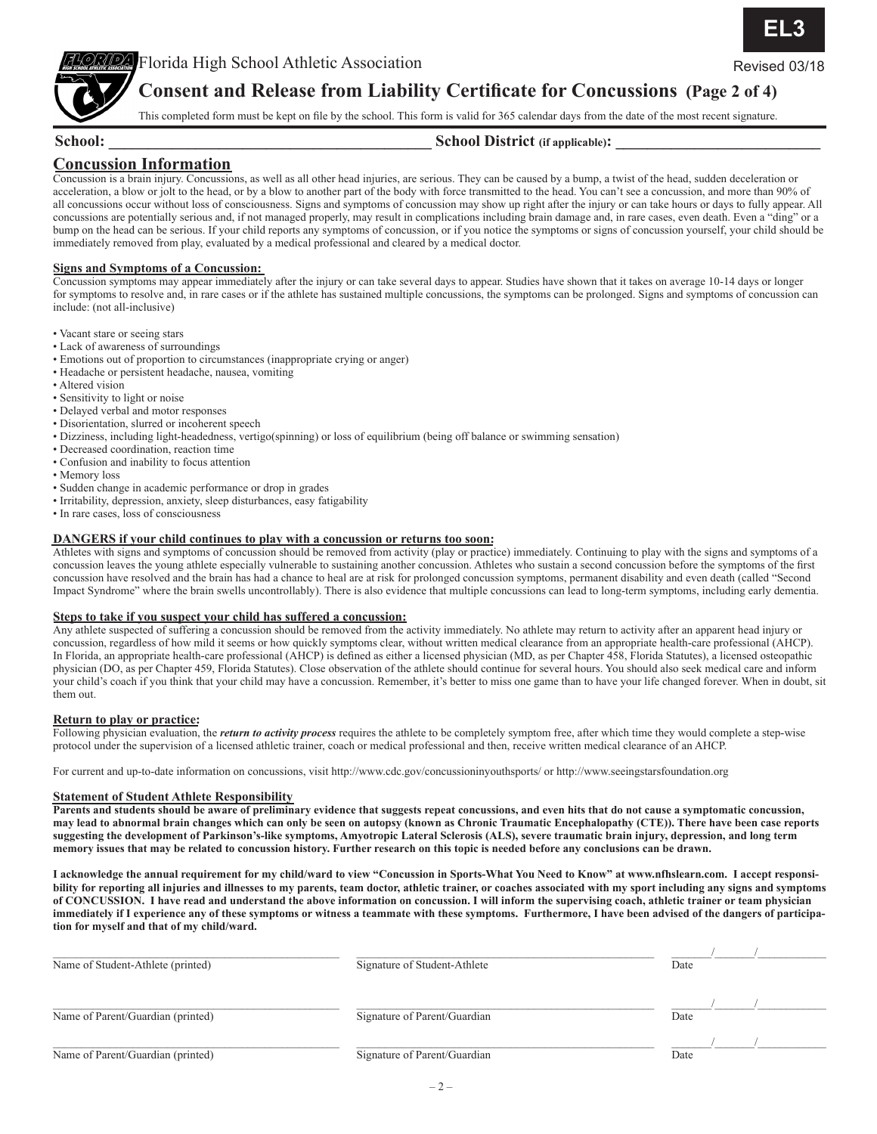



# **Consent and Release from Liability Certificate for Concussions (Page 2 of 4)**

This completed form must be kept on file by the school. This form is valid for 365 calendar days from the date of the most recent signature.

### School: School: **School District** (if applicable):

## **Concussion Information**

Concussion is a brain injury. Concussions, as well as all other head injuries, are serious. They can be caused by a bump, a twist of the head, sudden deceleration or acceleration, a blow or jolt to the head, or by a blow to another part of the body with force transmitted to the head. You can't see a concussion, and more than 90% of all concussions occur without loss of consciousness. Signs and symptoms of concussion may show up right after the injury or can take hours or days to fully appear. All concussions are potentially serious and, if not managed properly, may result in complications including brain damage and, in rare cases, even death. Even a "ding" or a bump on the head can be serious. If your child reports any symptoms of concussion, or if you notice the symptoms or signs of concussion yourself, your child should be immediately removed from play, evaluated by a medical professional and cleared by a medical doctor.

#### **Signs and Symptoms of a Concussion:**

Concussion symptoms may appear immediately after the injury or can take several days to appear. Studies have shown that it takes on average 10-14 days or longer for symptoms to resolve and, in rare cases or if the athlete has sustained multiple concussions, the symptoms can be prolonged. Signs and symptoms of concussion can include: (not all-inclusive)

- Vacant stare or seeing stars
- Lack of awareness of surroundings
- Emotions out of proportion to circumstances (inappropriate crying or anger)
- Headache or persistent headache, nausea, vomiting
- Altered vision
- Sensitivity to light or noise
- Delayed verbal and motor responses
- Disorientation, slurred or incoherent speech
- Dizziness, including light-headedness, vertigo(spinning) or loss of equilibrium (being off balance or swimming sensation)
- Decreased coordination, reaction time
- Confusion and inability to focus attention
- Memory loss
- Sudden change in academic performance or drop in grades
- Irritability, depression, anxiety, sleep disturbances, easy fatigability
- In rare cases, loss of consciousness

#### **DANGERS if your child continues to play with a concussion or returns too soon:**

Athletes with signs and symptoms of concussion should be removed from activity (play or practice) immediately. Continuing to play with the signs and symptoms of a concussion leaves the young athlete especially vulnerable to sustaining another concussion. Athletes who sustain a second concussion before the symptoms of the first concussion have resolved and the brain has had a chance to heal are at risk for prolonged concussion symptoms, permanent disability and even death (called "Second Impact Syndrome" where the brain swells uncontrollably). There is also evidence that multiple concussions can lead to long-term symptoms, including early dementia.

#### **Steps to take if you suspect your child has suffered a concussion:**

Any athlete suspected of suffering a concussion should be removed from the activity immediately. No athlete may return to activity after an apparent head injury or concussion, regardless of how mild it seems or how quickly symptoms clear, without written medical clearance from an appropriate health-care professional (AHCP). In Florida, an appropriate health-care professional (AHCP) is defined as either a licensed physician (MD, as per Chapter 458, Florida Statutes), a licensed osteopathic physician (DO, as per Chapter 459, Florida Statutes). Close observation of the athlete should continue for several hours. You should also seek medical care and inform your child's coach if you think that your child may have a concussion. Remember, it's better to miss one game than to have your life changed forever. When in doubt, sit them out.

#### **Return to play or practice:**

Following physician evaluation, the *return to activity process* requires the athlete to be completely symptom free, after which time they would complete a step-wise protocol under the supervision of a licensed athletic trainer, coach or medical professional and then, receive written medical clearance of an AHCP.

For current and up-to-date information on concussions, visit http://www.cdc.gov/concussioninyouthsports/ or http://www.seeingstarsfoundation.org

#### **Statement of Student Athlete Responsibility**

**Parents and students should be aware of preliminary evidence that suggests repeat concussions, and even hits that do not cause a symptomatic concussion, may lead to abnormal brain changes which can only be seen on autopsy (known as Chronic Traumatic Encephalopathy (CTE)). There have been case reports suggesting the development of Parkinson's-like symptoms, Amyotropic Lateral Sclerosis (ALS), severe traumatic brain injury, depression, and long term memory issues that may be related to concussion history. Further research on this topic is needed before any conclusions can be drawn.** 

**I acknowledge the annual requirement for my child/ward to view "Concussion in Sports-What You Need to Know" at www.nfhslearn.com. I accept responsibility for reporting all injuries and illnesses to my parents, team doctor, athletic trainer, or coaches associated with my sport including any signs and symptoms of CONCUSSION. I have read and understand the above information on concussion. I will inform the supervising coach, athletic trainer or team physician immediately if I experience any of these symptoms or witness a teammate with these symptoms. Furthermore, I have been advised of the dangers of participation for myself and that of my child/ward.**

| Name of Student-Athlete (printed) | Signature of Student-Athlete | Date |  |
|-----------------------------------|------------------------------|------|--|
| Name of Parent/Guardian (printed) | Signature of Parent/Guardian | Date |  |
| Name of Parent/Guardian (printed) | Signature of Parent/Guardian | Date |  |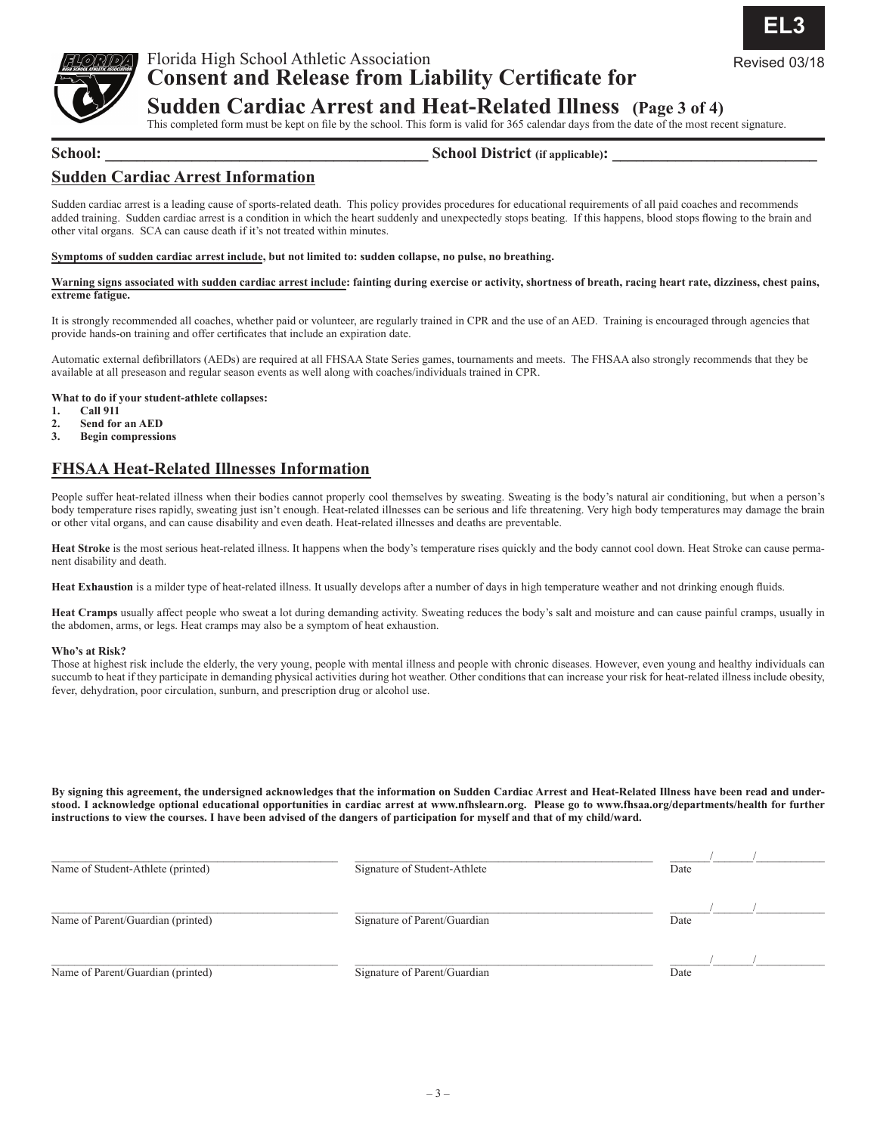

# Florida High School Athletic Association **Consent and Release from Liability Certificate for**

# **Sudden Cardiac Arrest and Heat-Related Illness (Page 3 of 4)**

This completed form must be kept on file by the school. This form is valid for 365 calendar days from the date of the most recent signature.

### School: **School: School District** (if applicable):

**EL3**

Revised 03/18

## **Sudden Cardiac Arrest Information**

Sudden cardiac arrest is a leading cause of sports-related death. This policy provides procedures for educational requirements of all paid coaches and recommends added training. Sudden cardiac arrest is a condition in which the heart suddenly and unexpectedly stops beating. If this happens, blood stops flowing to the brain and other vital organs. SCA can cause death if it's not treated within minutes.

#### **Symptoms of sudden cardiac arrest include, but not limited to: sudden collapse, no pulse, no breathing.**

#### **Warning signs associated with sudden cardiac arrest include: fainting during exercise or activity, shortness of breath, racing heart rate, dizziness, chest pains, extreme fatigue.**

It is strongly recommended all coaches, whether paid or volunteer, are regularly trained in CPR and the use of an AED. Training is encouraged through agencies that provide hands-on training and offer certificates that include an expiration date.

Automatic external defibrillators (AEDs) are required at all FHSAA State Series games, tournaments and meets. The FHSAA also strongly recommends that they be available at all preseason and regular season events as well along with coaches/individuals trained in CPR.

#### **What to do if your student-athlete collapses:**

- **1. Call 911**
- **2. Send for an AED**
- **3. Begin compressions**

## **FHSAA Heat-Related Illnesses Information**

People suffer heat-related illness when their bodies cannot properly cool themselves by sweating. Sweating is the body's natural air conditioning, but when a person's body temperature rises rapidly, sweating just isn't enough. Heat-related illnesses can be serious and life threatening. Very high body temperatures may damage the brain or other vital organs, and can cause disability and even death. Heat-related illnesses and deaths are preventable.

**Heat Stroke** is the most serious heat-related illness. It happens when the body's temperature rises quickly and the body cannot cool down. Heat Stroke can cause permanent disability and death.

**Heat Exhaustion** is a milder type of heat-related illness. It usually develops after a number of days in high temperature weather and not drinking enough fluids.

**Heat Cramps** usually affect people who sweat a lot during demanding activity. Sweating reduces the body's salt and moisture and can cause painful cramps, usually in the abdomen, arms, or legs. Heat cramps may also be a symptom of heat exhaustion.

#### **Who's at Risk?**

Those at highest risk include the elderly, the very young, people with mental illness and people with chronic diseases. However, even young and healthy individuals can succumb to heat if they participate in demanding physical activities during hot weather. Other conditions that can increase your risk for heat-related illness include obesity, fever, dehydration, poor circulation, sunburn, and prescription drug or alcohol use.

**By signing this agreement, the undersigned acknowledges that the information on Sudden Cardiac Arrest and Heat-Related Illness have been read and understood. I acknowledge optional educational opportunities in cardiac arrest at www.nfhslearn.org. Please go to www.fhsaa.org/departments/health for further instructions to view the courses. I have been advised of the dangers of participation for myself and that of my child/ward.**

| Name of Student-Athlete (printed) | Signature of Student-Athlete | Date |
|-----------------------------------|------------------------------|------|
| Name of Parent/Guardian (printed) | Signature of Parent/Guardian | Date |
| Name of Parent/Guardian (printed) | Signature of Parent/Guardian | Date |